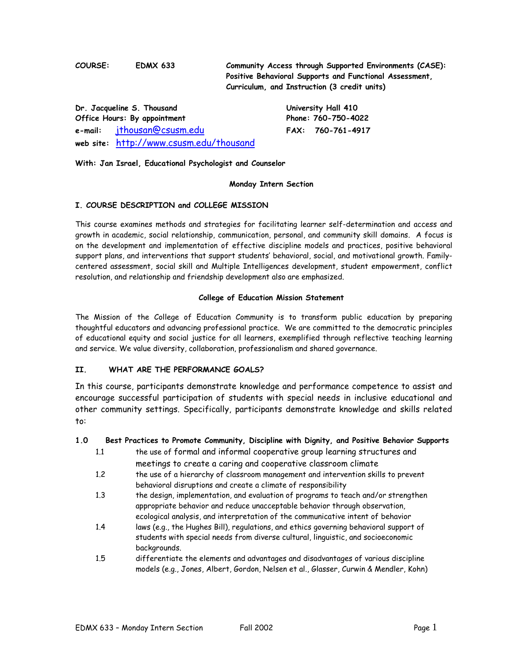**COURSE: EDMX 633 Community Access through Supported Environments (CASE): Positive Behavioral Supports and Functional Assessment, Curriculum, and Instruction (3 credit units)**

|                              | Dr. Jacqueline S. Thousand              | University Hall 410 |                     |  |
|------------------------------|-----------------------------------------|---------------------|---------------------|--|
| Office Hours: By appointment |                                         |                     | Phone: 760-750-4022 |  |
|                              | e-mail: jthousan@csusm.edu              |                     | FAX: 760-761-4917   |  |
|                              | web site: http://www.csusm.edu/thousand |                     |                     |  |

**With: Jan Israel, Educational Psychologist and Counselor**

#### **Monday Intern Section**

## **I. COURSE DESCRIPTION and COLLEGE MISSION**

This course examines methods and strategies for facilitating learner self-determination and access and growth in academic, social relationship, communication, personal, and community skill domains. A focus is on the development and implementation of effective discipline models and practices, positive behavioral support plans, and interventions that support students' behavioral, social, and motivational growth. Familycentered assessment, social skill and Multiple Intelligences development, student empowerment, conflict resolution, and relationship and friendship development also are emphasized.

## **College of Education Mission Statement**

The Mission of the College of Education Community is to transform public education by preparing thoughtful educators and advancing professional practice. We are committed to the democratic principles of educational equity and social justice for all learners, exemplified through reflective teaching learning and service. We value diversity, collaboration, professionalism and shared governance.

## **II. WHAT ARE THE PERFORMANCE GOALS?**

In this course, participants demonstrate knowledge and performance competence to assist and encourage successful participation of students with special needs in inclusive educational and other community settings. Specifically, participants demonstrate knowledge and skills related to:

## **1.0 Best Practices to Promote Community, Discipline with Dignity, and Positive Behavior Supports**

- 1.1 the use of formal and informal cooperative group learning structures and meetings to create a caring and cooperative classroom climate
- 1.2 the use of a hierarchy of classroom management and intervention skills to prevent behavioral disruptions and create a climate of responsibility
- 1.3 the design, implementation, and evaluation of programs to teach and/or strengthen appropriate behavior and reduce unacceptable behavior through observation, ecological analysis, and interpretation of the communicative intent of behavior
- 1.4 laws (e.g., the Hughes Bill), regulations, and ethics governing behavioral support of students with special needs from diverse cultural, linguistic, and socioeconomic backgrounds.
- 1.5 differentiate the elements and advantages and disadvantages of various discipline models (e.g., Jones, Albert, Gordon, Nelsen et al., Glasser, Curwin & Mendler, Kohn)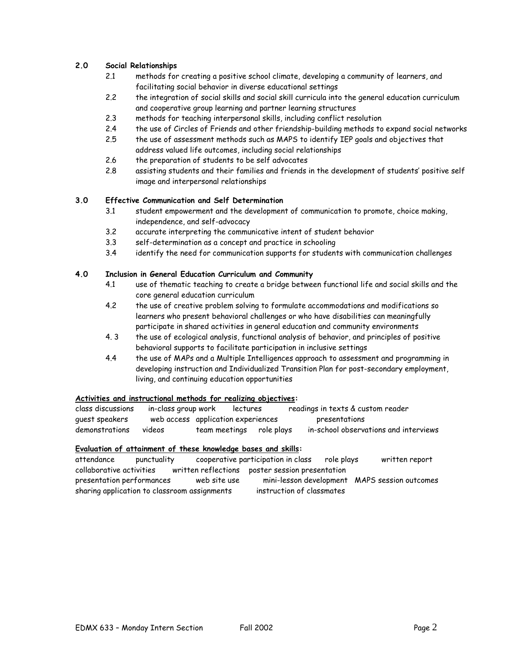## **2.0 Social Relationships**

- 2.1 methods for creating a positive school climate, developing a community of learners, and facilitating social behavior in diverse educational settings
- 2.2 the integration of social skills and social skill curricula into the general education curriculum and cooperative group learning and partner learning structures
- 2.3 methods for teaching interpersonal skills, including conflict resolution
- 2.4 the use of Circles of Friends and other friendship-building methods to expand social networks
- 2.5 the use of assessment methods such as MAPS to identify IEP goals and objectives that address valued life outcomes, including social relationships
- 2.6 the preparation of students to be self advocates
- 2.8 assisting students and their families and friends in the development of students' positive self image and interpersonal relationships

## **3.0 Effective Communication and Self Determination**

- 3.1 student empowerment and the development of communication to promote, choice making, independence, and self-advocacy
- 3.2 accurate interpreting the communicative intent of student behavior
- 3.3 self-determination as a concept and practice in schooling
- 3.4 identify the need for communication supports for students with communication challenges

## **4.0 Inclusion in General Education Curriculum and Community**

- 4.1 use of thematic teaching to create a bridge between functional life and social skills and the core general education curriculum
- 4.2 the use of creative problem solving to formulate accommodations and modifications so learners who present behavioral challenges or who have disabilities can meaningfully participate in shared activities in general education and community environments
- 4. 3 the use of ecological analysis, functional analysis of behavior, and principles of positive behavioral supports to facilitate participation in inclusive settings
- 4.4 the use of MAPs and a Multiple Intelligences approach to assessment and programming in developing instruction and Individualized Transition Plan for post-secondary employment, living, and continuing education opportunities

## **Activities and instructional methods for realizing objectives:**

class discussions in-class group work lectures readings in texts & custom reader guest speakers web access application experiences presentations demonstrations videos team meetings role plays in-school observations and interviews

## **Evaluation of attainment of these knowledge bases and skills:**

| attendance               | punctuality               |                                              | cooperative participation in class              | role plays | written report                                |
|--------------------------|---------------------------|----------------------------------------------|-------------------------------------------------|------------|-----------------------------------------------|
| collaborative activities |                           |                                              | written reflections poster session presentation |            |                                               |
|                          | presentation performances | web site use                                 |                                                 |            | mini-lesson development MAPS session outcomes |
|                          |                           | sharing application to classroom assignments | instruction of classmates                       |            |                                               |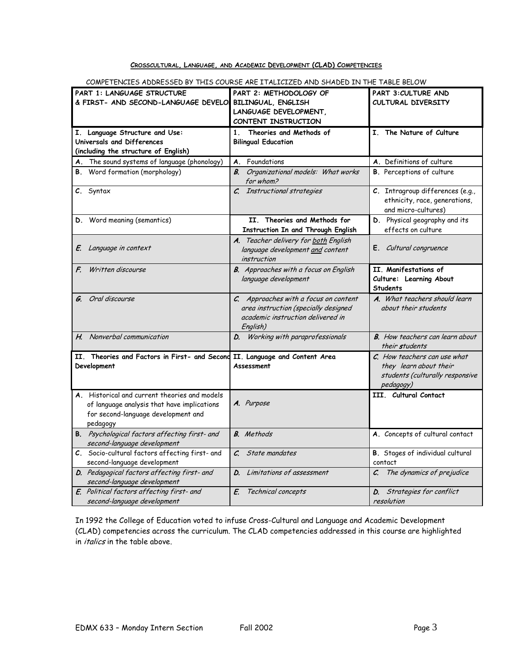## **CROSSCULTURAL, LANGUAGE, AND ACADEMIC DEVELOPMENT (CLAD) COMPETENCIES**

| COMEL FLINCILLO ADDRESSED BY THIS COO                                                                                                           | <b>ARL</b><br>CILLU ANU OMADLU IN THE TABLE BELOW                                                                              |                                                                                                        |
|-------------------------------------------------------------------------------------------------------------------------------------------------|--------------------------------------------------------------------------------------------------------------------------------|--------------------------------------------------------------------------------------------------------|
| PART 1: LANGUAGE STRUCTURE<br>& FIRST- AND SECOND-LANGUAGE DEVELO                                                                               | PART 2: METHODOLOGY OF<br>BILINGUAL, ENGLISH<br>LANGUAGE DEVELOPMENT,<br>CONTENT INSTRUCTION                                   | PART 3: CULTURE AND<br>CULTURAL DIVERSITY                                                              |
| Language Structure and Use:<br>I.<br>Universals and Differences<br>(including the structure of English)                                         | 1 <sub>1</sub><br>Theories and Methods of<br><b>Bilingual Education</b>                                                        | I. The Nature of Culture                                                                               |
| A. The sound systems of language (phonology)                                                                                                    | Foundations<br>Α.                                                                                                              | A. Definitions of culture                                                                              |
| B. Word formation (morphology)                                                                                                                  | В.<br>Organizational models: What works<br>for whom?                                                                           | <b>B.</b> Perceptions of culture                                                                       |
| C. Syntax                                                                                                                                       | Instructional strategies<br>$\mathcal{C}$                                                                                      | C. Intragroup differences (e.g.,<br>ethnicity, race, generations,<br>and micro-cultures)               |
| D. Word meaning (semantics)                                                                                                                     | II. Theories and Methods for<br>Instruction In and Through English                                                             | D. Physical geography and its<br>effects on culture                                                    |
| E. Language in context                                                                                                                          | A. Teacher delivery for both English<br>language development and content<br>instruction                                        | E. Cultural congruence                                                                                 |
| Written discourse<br>F.                                                                                                                         | <b>B.</b> Approaches with a focus on English<br>language development                                                           | II. Manifestations of<br>Culture: Learning About<br><b>Students</b>                                    |
| Oral discourse<br>G.                                                                                                                            | C. Approaches with a focus on content<br>area instruction (specially designed<br>academic instruction delivered in<br>English) | A. What teachers should learn<br>about their students                                                  |
| H. Nonverbal communication                                                                                                                      | Working with paraprofessionals<br>D.                                                                                           | <b>B.</b> How teachers can learn about<br>their students                                               |
| II. Theories and Factors in First- and Second<br>Development                                                                                    | II. Language and Content Area<br>Assessment                                                                                    | C. How teachers can use what<br>they learn about their<br>students (culturally responsive<br>pedagogy) |
| A. Historical and current theories and models<br>of language analysis that have implications<br>for second-language development and<br>pedagogy | A. Purpose                                                                                                                     | III. Cultural Contact                                                                                  |
| B. Psychological factors affecting first- and<br>second-language development                                                                    | <b>B.</b> Methods                                                                                                              | A. Concepts of cultural contact                                                                        |
| C. Socio-cultural factors affecting first- and<br>second-language development                                                                   | $\mathcal{C}$<br>State mandates                                                                                                | <b>B.</b> Stages of individual cultural<br>contact                                                     |
| D. Pedagogical factors affecting first- and<br>second-language development                                                                      | Limitations of assessment<br>D.                                                                                                | The dynamics of prejudice<br>C.                                                                        |
| E. Political factors affecting first- and<br>second-language development                                                                        | E.<br>Technical concepts                                                                                                       | Strategies for conflict<br>D.<br>resolution                                                            |

COMPETENCIES ADDRESSED BY THIS COURSE ARE ITALICIZED AND SHADED IN THE TABLE BELOW

In 1992 the College of Education voted to infuse Cross-Cultural and Language and Academic Development (CLAD) competencies across the curriculum. The CLAD competencies addressed in this course are highlighted in *italics* in the table above.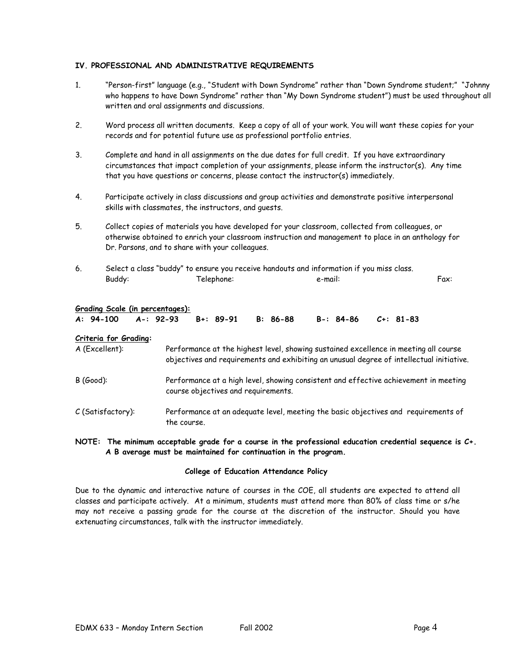## **IV. PROFESSIONAL AND ADMINISTRATIVE REQUIREMENTS**

- 1. "Person-first" language (e.g., "Student with Down Syndrome" rather than "Down Syndrome student;" "Johnny who happens to have Down Syndrome" rather than "My Down Syndrome student") must be used throughout all written and oral assignments and discussions.
- 2. Word process all written documents. Keep a copy of all of your work. You will want these copies for your records and for potential future use as professional portfolio entries.
- 3. Complete and hand in all assignments on the due dates for full credit. If you have extraordinary circumstances that impact completion of your assignments, please inform the instructor(s). Any time that you have questions or concerns, please contact the instructor(s) immediately.
- 4. Participate actively in class discussions and group activities and demonstrate positive interpersonal skills with classmates, the instructors, and guests.
- 5. Collect copies of materials you have developed for your classroom, collected from colleagues, or otherwise obtained to enrich your classroom instruction and management to place in an anthology for Dr. Parsons, and to share with your colleagues.
- 6. Select a class "buddy" to ensure you receive handouts and information if you miss class. Buddy: Telephone: e-mail: Fax:

#### **Grading Scale (in percentages):**

|  |  | A: 94-100 A-: 92-93 B+: 89-91 B: 86-88 B-: 84-86 C+: 81-83 |  |
|--|--|------------------------------------------------------------|--|
|  |  |                                                            |  |

#### **Criteria for Grading:**

| A (Excellent):    | Performance at the highest level, showing sustained excellence in meeting all course<br>objectives and requirements and exhibiting an unusual degree of intellectual initiative. |
|-------------------|----------------------------------------------------------------------------------------------------------------------------------------------------------------------------------|
| $B(Good)$ :       | Performance at a high level, showing consistent and effective achievement in meeting<br>course objectives and requirements.                                                      |
| C (Satisfactory): | Performance at an adequate level, meeting the basic objectives and requirements of<br>the course.                                                                                |

### **NOTE: The minimum acceptable grade for a course in the professional education credential sequence is C+. A B average must be maintained for continuation in the program.**

#### **College of Education Attendance Policy**

Due to the dynamic and interactive nature of courses in the COE, all students are expected to attend all classes and participate actively. At a minimum, students must attend more than 80% of class time or s/he may not receive a passing grade for the course at the discretion of the instructor. Should you have extenuating circumstances, talk with the instructor immediately.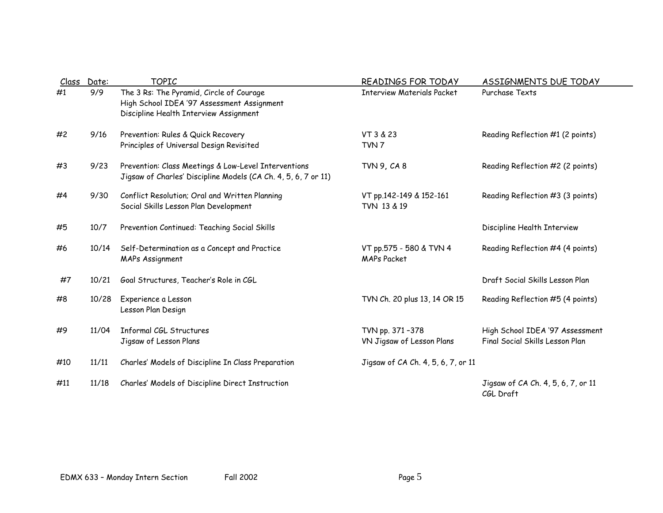| Class | Date: | <b>TOPIC</b>                                                                                                                     | <b>READINGS FOR TODAY</b>                     | ASSIGNMENTS DUE TODAY                                              |
|-------|-------|----------------------------------------------------------------------------------------------------------------------------------|-----------------------------------------------|--------------------------------------------------------------------|
| #1    | 9/9   | The 3 Rs: The Pyramid, Circle of Courage<br>High School IDEA '97 Assessment Assignment<br>Discipline Health Interview Assignment | <b>Interview Materials Packet</b>             | Purchase Texts                                                     |
| #2    | 9/16  | Prevention: Rules & Quick Recovery<br>Principles of Universal Design Revisited                                                   | VT 3 & 23<br>TVN <sub>7</sub>                 | Reading Reflection #1 (2 points)                                   |
| #3    | 9/23  | Prevention: Class Meetings & Low-Level Interventions<br>Jigsaw of Charles' Discipline Models (CA Ch. 4, 5, 6, 7 or 11)           | <b>TVN 9, CA 8</b>                            | Reading Reflection #2 (2 points)                                   |
| #4    | 9/30  | Conflict Resolution; Oral and Written Planning<br>Social Skills Lesson Plan Development                                          | VT pp.142-149 & 152-161<br>TVN 13 & 19        | Reading Reflection #3 (3 points)                                   |
| #5    | 10/7  | Prevention Continued: Teaching Social Skills                                                                                     |                                               | Discipline Health Interview                                        |
| #6    | 10/14 | Self-Determination as a Concept and Practice<br><b>MAPs Assignment</b>                                                           | VT pp.575 - 580 & TVN 4<br><b>MAPs Packet</b> | Reading Reflection #4 (4 points)                                   |
| #7    | 10/21 | Goal Structures, Teacher's Role in CGL                                                                                           |                                               | Draft Social Skills Lesson Plan                                    |
| #8    | 10/28 | Experience a Lesson<br>Lesson Plan Design                                                                                        | TVN Ch. 20 plus 13, 14 OR 15                  | Reading Reflection #5 (4 points)                                   |
| #9    | 11/04 | Informal CGL Structures<br>Jigsaw of Lesson Plans                                                                                | TVN pp. 371-378<br>VN Jigsaw of Lesson Plans  | High School IDEA '97 Assessment<br>Final Social Skills Lesson Plan |
| #10   | 11/11 | Charles' Models of Discipline In Class Preparation                                                                               | Jigsaw of CA Ch. 4, 5, 6, 7, or 11            |                                                                    |
| #11   | 11/18 | Charles' Models of Discipline Direct Instruction                                                                                 |                                               | Jigsaw of CA Ch. 4, 5, 6, 7, or 11<br>CGL Draft                    |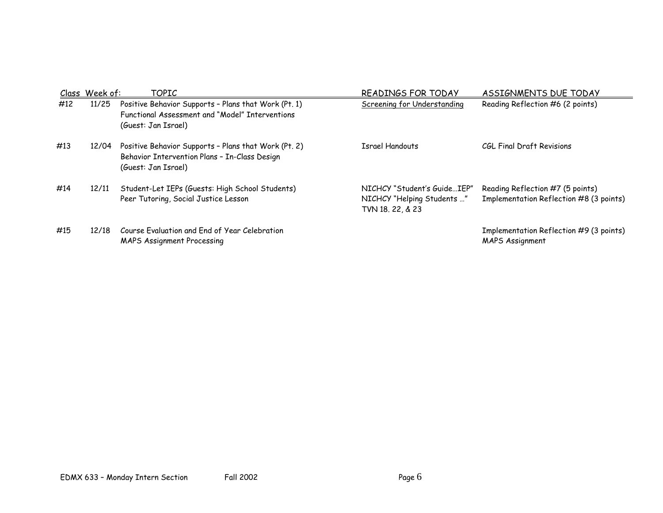|     | Class Week of: | TOPIC                                                                                                                          | READINGS FOR TODAY                                                            | <b>ASSIGNMENTS DUE TODAY</b>                                                |
|-----|----------------|--------------------------------------------------------------------------------------------------------------------------------|-------------------------------------------------------------------------------|-----------------------------------------------------------------------------|
| #12 | 11/25          | Positive Behavior Supports - Plans that Work (Pt. 1)<br>Functional Assessment and "Model" Interventions<br>(Guest: Jan Israel) | Screening for Understanding                                                   | Reading Reflection #6 (2 points)                                            |
| #13 | 12/04          | Positive Behavior Supports - Plans that Work (Pt. 2)<br>Behavior Intervention Plans - In-Class Design<br>(Guest: Jan Israel)   | Israel Handouts                                                               | CGL Final Draft Revisions                                                   |
| #14 | 12/11          | Student-Let IEPs (Guests: High School Students)<br>Peer Tutoring, Social Justice Lesson                                        | NICHCY "Student's GuideIEP"<br>NICHCY "Helping Students "<br>TVN 18, 22, & 23 | Reading Reflection #7 (5 points)<br>Implementation Reflection #8 (3 points) |
| #15 | 12/18          | Course Evaluation and End of Year Celebration<br><b>MAPS Assignment Processing</b>                                             |                                                                               | Implementation Reflection #9 (3 points)<br><b>MAPS Assignment</b>           |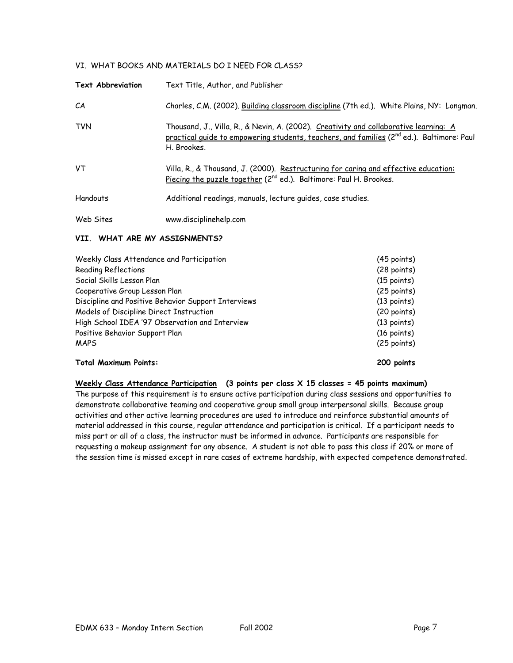## VI. WHAT BOOKS AND MATERIALS DO I NEED FOR CLASS?

| <b>Text Abbreviation</b> | Text Title, Author, and Publisher                                                                                                                                                                             |
|--------------------------|---------------------------------------------------------------------------------------------------------------------------------------------------------------------------------------------------------------|
| CА                       | Charles, C.M. (2002). Building classroom discipline (7th ed.). White Plains, NY: Longman.                                                                                                                     |
| <b>TVN</b>               | Thousand, J., Villa, R., & Nevin, A. (2002). Creativity and collaborative learning: A<br>practical quide to empowering students, teachers, and families (2 <sup>nd</sup> ed.). Baltimore: Paul<br>H. Brookes. |
| VT                       | Villa, R., & Thousand, J. (2000). Restructuring for caring and effective education:<br>Piecing the puzzle together (2 <sup>nd</sup> ed.). Baltimore: Paul H. Brookes.                                         |
| Handouts                 | Additional readings, manuals, lecture quides, case studies.                                                                                                                                                   |
| Web Sites                | www.disciplinehelp.com                                                                                                                                                                                        |

## **VII. WHAT ARE MY ASSIGNMENTS?**

| Weekly Class Attendance and Participation           | $(45$ points)         |
|-----------------------------------------------------|-----------------------|
| <b>Reading Reflections</b>                          | $(28 \text{ points})$ |
| Social Skills Lesson Plan                           | $(15$ points)         |
| Cooperative Group Lesson Plan                       | $(25$ points)         |
| Discipline and Positive Behavior Support Interviews | (13 points)           |
| Models of Discipline Direct Instruction             | (20 points)           |
| High School IDEA '97 Observation and Interview      | (13 points)           |
| Positive Behavior Support Plan                      | $(16 \text{ points})$ |
| <b>MAPS</b>                                         | $(25 \text{ points})$ |
| <b>Total Maximum Points:</b>                        | 200 points            |

**Weekly Class Attendance Participation (3 points per class X 15 classes = 45 points maximum)** The purpose of this requirement is to ensure active participation during class sessions and opportunities to demonstrate collaborative teaming and cooperative group small group interpersonal skills. Because group activities and other active learning procedures are used to introduce and reinforce substantial amounts of material addressed in this course, regular attendance and participation is critical. If a participant needs to miss part or all of a class, the instructor must be informed in advance. Participants are responsible for requesting a makeup assignment for any absence. A student is not able to pass this class if 20% or more of the session time is missed except in rare cases of extreme hardship, with expected competence demonstrated.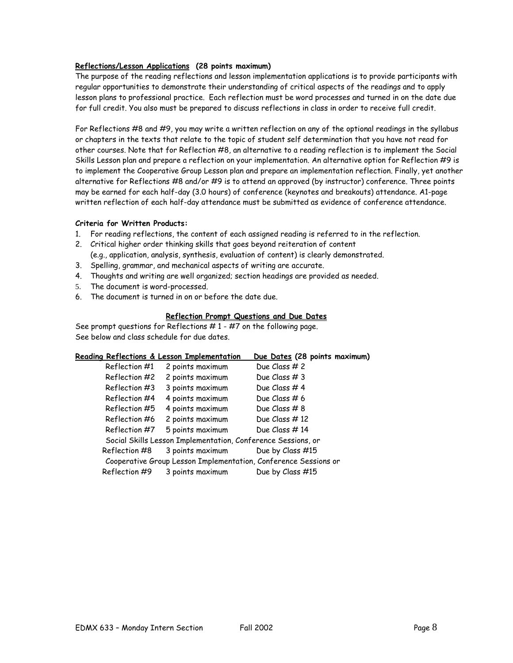## **Reflections/Lesson Applications (28 points maximum)**

The purpose of the reading reflections and lesson implementation applications is to provide participants with regular opportunities to demonstrate their understanding of critical aspects of the readings and to apply lesson plans to professional practice. Each reflection must be word processes and turned in on the date due for full credit. You also must be prepared to discuss reflections in class in order to receive full credit.

For Reflections #8 and #9, you may write a written reflection on any of the optional readings in the syllabus or chapters in the texts that relate to the topic of student self determination that you have not read for other courses. Note that for Reflection #8, an alternative to a reading reflection is to implement the Social Skills Lesson plan and prepare a reflection on your implementation. An alternative option for Reflection #9 is to implement the Cooperative Group Lesson plan and prepare an implementation reflection. Finally, yet another alternative for Reflections #8 and/or #9 is to attend an approved (by instructor) conference. Three points may be earned for each half-day (3.0 hours) of conference (keynotes and breakouts) attendance. A1-page written reflection of each half-day attendance must be submitted as evidence of conference attendance.

## **Criteria for Written Products:**

- 1. For reading reflections, the content of each assigned reading is referred to in the reflection.
- 2. Critical higher order thinking skills that goes beyond reiteration of content (e.g., application, analysis, synthesis, evaluation of content) is clearly demonstrated.
- 3. Spelling, grammar, and mechanical aspects of writing are accurate.
- 4. Thoughts and writing are well organized; section headings are provided as needed.
- 5. The document is word-processed.
- 6. The document is turned in on or before the date due.

## **Reflection Prompt Questions and Due Dates**

See prompt questions for Reflections  $# 1 - #7$  on the following page. See below and class schedule for due dates.

|               | Reading Reflections & Lesson Implementation                     | Due Dates (28 points maximum) |  |
|---------------|-----------------------------------------------------------------|-------------------------------|--|
| Reflection #1 | 2 points maximum                                                | Due Class # 2                 |  |
| Reflection #2 | 2 points maximum                                                | Due Class $#3$                |  |
| Reflection #3 | 3 points maximum                                                | Due Class #4                  |  |
| Reflection #4 | 4 points maximum                                                | Due Class # 6                 |  |
| Reflection #5 | 4 points maximum                                                | Due Class #8                  |  |
| Reflection #6 | 2 points maximum                                                | Due Class $#12$               |  |
| Reflection #7 | 5 points maximum                                                | Due Class #14                 |  |
|               | Social Skills Lesson Implementation, Conference Sessions, or    |                               |  |
| Reflection #8 | 3 points maximum                                                | Due by Class #15              |  |
|               | Cooperative Group Lesson Implementation, Conference Sessions or |                               |  |
| Reflection #9 | 3 points maximum                                                | Due by Class #15              |  |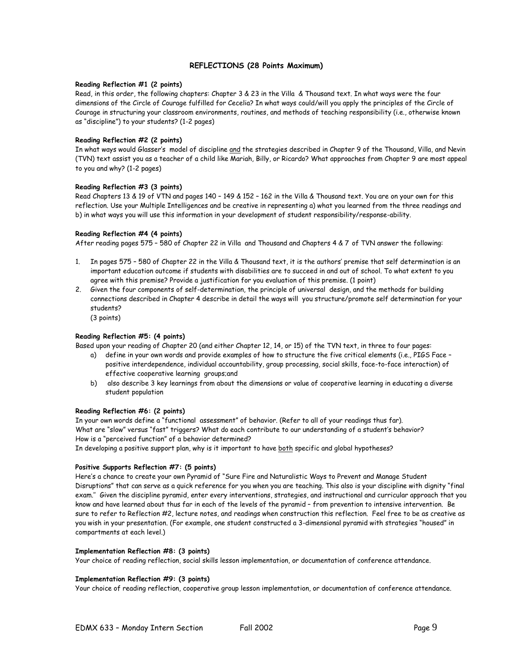#### **REFLECTIONS (28 Points Maximum)**

#### **Reading Reflection #1 (2 points)**

Read, in this order, the following chapters: Chapter 3 & 23 in the Villa & Thousand text. In what ways were the four dimensions of the Circle of Courage fulfilled for Cecelia? In what ways could/will you apply the principles of the Circle of Courage in structuring your classroom environments, routines, and methods of teaching responsibility (i.e., otherwise known as "discipline") to your students? (1-2 pages)

#### **Reading Reflection #2 (2 points)**

In what ways would Glasser's model of discipline and the strategies described in Chapter 9 of the Thousand, Villa, and Nevin (TVN) text assist you as a teacher of a child like Mariah, Billy, or Ricardo? What approaches from Chapter 9 are most appeal to you and why? (1-2 pages)

#### **Reading Reflection #3 (3 points)**

Read Chapters 13 & 19 of VTN and pages 140 – 149 & 152 – 162 in the Villa & Thousand text. You are on your own for this reflection. Use your Multiple Intelligences and be creative in representing a) what you learned from the three readings and b) in what ways you will use this information in your development of student responsibility/response-ability.

#### **Reading Reflection #4 (4 points)**

After reading pages 575 – 580 of Chapter 22 in Villa and Thousand and Chapters 4 & 7 of TVN answer the following:

- 1. In pages 575 580 of Chapter 22 in the Villa & Thousand text, it is the authors' premise that self determination is an important education outcome if students with disabilities are to succeed in and out of school. To what extent to you agree with this premise? Provide a justification for you evaluation of this premise. (1 point)
- 2. Given the four components of self-determination, the principle of universal design, and the methods for building connections described in Chapter 4 describe in detail the ways will you structure/promote self determination for your students?

(3 points)

#### **Reading Reflection #5: (4 points)**

Based upon your reading of Chapter 20 (and either Chapter 12, 14, or 15) of the TVN text, in three to four pages:

- a) define in your own words and provide examples of how to structure the five critical elements (i.e., PIGS Face positive interdependence, individual accountability, group processing, social skills, face-to-face interaction) of effective cooperative learning groups;and
- b) also describe 3 key learnings from about the dimensions or value of cooperative learning in educating a diverse student population

#### **Reading Reflection #6: (2 points)**

In your own words define a "functional assessment" of behavior. (Refer to all of your readings thus far). What are "slow" versus "fast" triggers? What do each contribute to our understanding of a student's behavior? How is a "perceived function" of a behavior determined?

In developing a positive support plan, why is it important to have both specific and global hypotheses?

#### **Positive Supports Reflection #7: (5 points)**

Here's a chance to create your own Pyramid of "Sure Fire and Naturalistic Ways to Prevent and Manage Student Disruptions" that can serve as a quick reference for you when you are teaching. This also is your discipline with dignity "final exam.'' Given the discipline pyramid, enter every interventions, strategies, and instructional and curricular approach that you know and have learned about thus far in each of the levels of the pyramid – from prevention to intensive intervention. Be sure to refer to Reflection #2, lecture notes, and readings when construction this reflection. Feel free to be as creative as you wish in your presentation. (For example, one student constructed a 3-dimensional pyramid with strategies "housed" in compartments at each level.)

#### **Implementation Reflection #8: (3 points)**

Your choice of reading reflection, social skills lesson implementation, or documentation of conference attendance.

#### **Implementation Reflection #9: (3 points)**

Your choice of reading reflection, cooperative group lesson implementation, or documentation of conference attendance.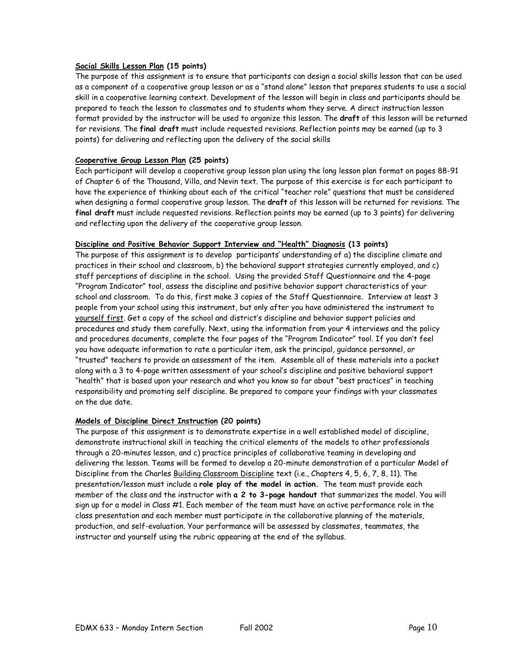## **Social Skills Lesson Plan (15 points)**

The purpose of this assignment is to ensure that participants can design a social skills lesson that can be used as a component of a cooperative group lesson or as a "stand alone" lesson that prepares students to use a social skill in a cooperative learning context. Development of the lesson will begin in class and participants should be prepared to teach the lesson to classmates and to students whom they serve. A direct instruction lesson format provided by the instructor will be used to organize this lesson. The **draft** of this lesson will be returned for revisions. The **final draft** must include requested revisions. Reflection points may be earned (up to 3 points) for delivering and reflecting upon the delivery of the social skills

## **Cooperative Group Lesson Plan (25 points)**

Each participant will develop a cooperative group lesson plan using the long lesson plan format on pages 88-91 of Chapter 6 of the Thousand, Villa, and Nevin text. The purpose of this exercise is for each participant to have the experience of thinking about each of the critical "teacher role" questions that must be considered when designing a formal cooperative group lesson. The **draft** of this lesson will be returned for revisions. The **final draft** must include requested revisions. Reflection points may be earned (up to 3 points) for delivering and reflecting upon the delivery of the cooperative group lesson.

### **Discipline and Positive Behavior Support Interview and "Health" Diagnosis (13 points)**

The purpose of this assignment is to develop participants' understanding of a) the discipline climate and practices in their school and classroom, b) the behavioral support strategies currently employed, and c) staff perceptions of discipline in the school. Using the provided Staff Questionnaire and the 4-page "Program Indicator" tool, assess the discipline and positive behavior support characteristics of your school and classroom. To do this, first make 3 copies of the Staff Questionnaire. Interview at least 3 people from your school using this instrument, but only after you have administered the instrument to yourself first. Get a copy of the school and district's discipline and behavior support policies and procedures and study them carefully. Next, using the information from your 4 interviews and the policy and procedures documents, complete the four pages of the "Program Indicator" tool. If you don't feel you have adequate information to rate a particular item, ask the principal, guidance personnel, or "trusted" teachers to provide an assessment of the item. Assemble all of these materials into a packet along with a 3 to 4-page written assessment of your school's discipline and positive behavioral support "health" that is based upon your research and what you know so far about "best practices" in teaching responsibility and promoting self discipline. Be prepared to compare your findings with your classmates on the due date.

## **Models of Discipline Direct Instruction (20 points)**

The purpose of this assignment is to demonstrate expertise in a well established model of discipline, demonstrate instructional skill in teaching the critical elements of the models to other professionals through a 20-minutes lesson, and c) practice principles of collaborative teaming in developing and delivering the lesson. Teams will be formed to develop a 20-minute demonstration of a particular Model of Discipline from the Charles Building Classroom Discipline text (i.e., Chapters 4, 5, 6, 7, 8, 11). The presentation/lesson must include a **role play of the model in action.** The team must provide each member of the class and the instructor with **a 2 to 3-page handout** that summarizes the model. You will sign up for a model in Class #1. Each member of the team must have an active performance role in the class presentation and each member must participate in the collaborative planning of the materials, production, and self-evaluation. Your performance will be assessed by classmates, teammates, the instructor and yourself using the rubric appearing at the end of the syllabus.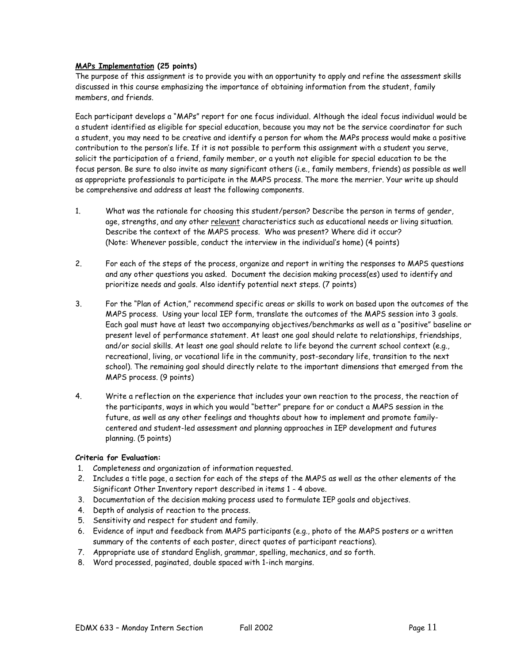## **MAPs Implementation (25 points)**

The purpose of this assignment is to provide you with an opportunity to apply and refine the assessment skills discussed in this course emphasizing the importance of obtaining information from the student, family members, and friends.

Each participant develops a "MAPs" report for one focus individual. Although the ideal focus individual would be a student identified as eligible for special education, because you may not be the service coordinator for such a student, you may need to be creative and identify a person for whom the MAPs process would make a positive contribution to the person's life. If it is not possible to perform this assignment with a student you serve, solicit the participation of a friend, family member, or a youth not eligible for special education to be the focus person. Be sure to also invite as many significant others (i.e., family members, friends) as possible as well as appropriate professionals to participate in the MAPS process. The more the merrier. Your write up should be comprehensive and address at least the following components.

- 1. What was the rationale for choosing this student/person? Describe the person in terms of gender, age, strengths, and any other relevant characteristics such as educational needs or living situation. Describe the context of the MAPS process. Who was present? Where did it occur? (Note: Whenever possible, conduct the interview in the individual's home) (4 points)
- 2. For each of the steps of the process, organize and report in writing the responses to MAPS questions and any other questions you asked. Document the decision making process(es) used to identify and prioritize needs and goals. Also identify potential next steps. (7 points)
- 3. For the "Plan of Action," recommend specific areas or skills to work on based upon the outcomes of the MAPS process. Using your local IEP form, translate the outcomes of the MAPS session into 3 goals. Each goal must have at least two accompanying objectives/benchmarks as well as a "positive" baseline or present level of performance statement. At least one goal should relate to relationships, friendships, and/or social skills. At least one goal should relate to life beyond the current school context (e.g., recreational, living, or vocational life in the community, post-secondary life, transition to the next school). The remaining goal should directly relate to the important dimensions that emerged from the MAPS process. (9 points)
- 4. Write a reflection on the experience that includes your own reaction to the process, the reaction of the participants, ways in which you would "better" prepare for or conduct a MAPS session in the future, as well as any other feelings and thoughts about how to implement and promote familycentered and student-led assessment and planning approaches in IEP development and futures planning. (5 points)

## **Criteria for Evaluation:**

- 1. Completeness and organization of information requested.
- 2. Includes a title page, a section for each of the steps of the MAPS as well as the other elements of the Significant Other Inventory report described in items 1 - 4 above.
- 3. Documentation of the decision making process used to formulate IEP goals and objectives.
- 4. Depth of analysis of reaction to the process.
- 5. Sensitivity and respect for student and family.
- 6. Evidence of input and feedback from MAPS participants (e.g., photo of the MAPS posters or a written summary of the contents of each poster, direct quotes of participant reactions).
- 7. Appropriate use of standard English, grammar, spelling, mechanics, and so forth.
- 8. Word processed, paginated, double spaced with 1-inch margins.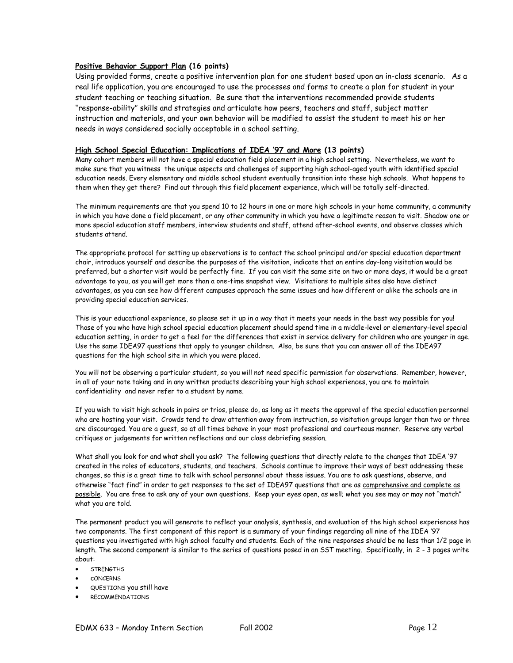## **Positive Behavior Support Plan (16 points)**

Using provided forms, create a positive intervention plan for one student based upon an in-class scenario. As a real life application, you are encouraged to use the processes and forms to create a plan for student in your student teaching or teaching situation. Be sure that the interventions recommended provide students "response-ability" skills and strategies and articulate how peers, teachers and staff, subject matter instruction and materials, and your own behavior will be modified to assist the student to meet his or her needs in ways considered socially acceptable in a school setting.

### **High School Special Education: Implications of IDEA '97 and More (13 points)**

Many cohort members will not have a special education field placement in a high school setting. Nevertheless, we want to make sure that you witness the unique aspects and challenges of supporting high school-aged youth with identified special education needs. Every elementary and middle school student eventually transition into these high schools. What happens to them when they get there? Find out through this field placement experience, which will be totally self-directed.

The minimum requirements are that you spend 10 to 12 hours in one or more high schools in your home community, a community in which you have done a field placement, or any other community in which you have a legitimate reason to visit. Shadow one or more special education staff members, interview students and staff, attend after-school events, and observe classes which students attend.

The appropriate protocol for setting up observations is to contact the school principal and/or special education department chair, introduce yourself and describe the purposes of the visitation, indicate that an entire day-long visitation would be preferred, but a shorter visit would be perfectly fine. If you can visit the same site on two or more days, it would be a great advantage to you, as you will get more than a one-time snapshot view. Visitations to multiple sites also have distinct advantages, as you can see how different campuses approach the same issues and how different or alike the schools are in providing special education services.

This is your educational experience, so please set it up in a way that it meets your needs in the best way possible for you! Those of you who have high school special education placement should spend time in a middle-level or elementary-level special education setting, in order to get a feel for the differences that exist in service delivery for children who are younger in age. Use the same IDEA97 questions that apply to younger children. Also, be sure that you can answer all of the IDEA97 questions for the high school site in which you were placed.

You will not be observing a particular student, so you will not need specific permission for observations. Remember, however, in all of your note taking and in any written products describing your high school experiences, you are to maintain confidentiality and never refer to a student by name.

If you wish to visit high schools in pairs or trios, please do, as long as it meets the approval of the special education personnel who are hosting your visit. Crowds tend to draw attention away from instruction, so visitation groups larger than two or three are discouraged. You are a guest, so at all times behave in your most professional and courteous manner. Reserve any verbal critiques or judgements for written reflections and our class debriefing session.

What shall you look for and what shall you ask? The following questions that directly relate to the changes that IDEA '97 created in the roles of educators, students, and teachers. Schools continue to improve their ways of best addressing these changes, so this is a great time to talk with school personnel about these issues. You are to ask questions, observe, and otherwise "fact find" in order to get responses to the set of IDEA97 questions that are as comprehensive and complete as possible. You are free to ask any of your own questions. Keep your eyes open, as well; what you see may or may not "match" what you are told.

The permanent product you will generate to reflect your analysis, synthesis, and evaluation of the high school experiences has two components. The first component of this report is a summary of your findings regarding all nine of the IDEA '97 questions you investigated with high school faculty and students. Each of the nine responses should be no less than 1/2 page in length. The second component is similar to the series of questions posed in an SST meeting. Specifically, in 2 - 3 pages write about:

- STRENGTHS
- cONCERNS
- QUESTIONS you still have
- **RECOMMENDATIONS**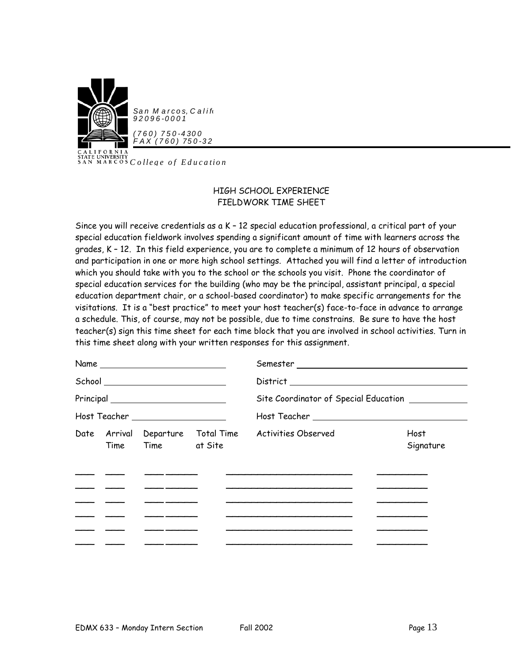

San Marcos, Calif. *92096-0001*

*(760) 750-4300 F AX (760) 750-32*

**CALL UNIVERSITY**<br>SAN MARCOS *College of Education* 

## HIGH SCHOOL EXPERIENCE FIELDWORK TIME SHEET

Since you will receive credentials as a K – 12 special education professional, a critical part of your special education fieldwork involves spending a significant amount of time with learners across the grades, K – 12. In this field experience, you are to complete a minimum of 12 hours of observation and participation in one or more high school settings. Attached you will find a letter of introduction which you should take with you to the school or the schools you visit. Phone the coordinator of special education services for the building (who may be the principal, assistant principal, a special education department chair, or a school-based coordinator) to make specific arrangements for the visitations. It is a "best practice" to meet your host teacher(s) face-to-face in advance to arrange a schedule. This, of course, may not be possible, due to time constrains. Be sure to have the host teacher(s) sign this time sheet for each time block that you are involved in school activities. Turn in this time sheet along with your written responses for this assignment.

|  | Name                                                                                                                                                                                                                                 |  |                                                                                                                                                                                                                                      |                   |                                                   |  |
|--|--------------------------------------------------------------------------------------------------------------------------------------------------------------------------------------------------------------------------------------|--|--------------------------------------------------------------------------------------------------------------------------------------------------------------------------------------------------------------------------------------|-------------------|---------------------------------------------------|--|
|  | School ___________________________                                                                                                                                                                                                   |  |                                                                                                                                                                                                                                      |                   |                                                   |  |
|  |                                                                                                                                                                                                                                      |  |                                                                                                                                                                                                                                      |                   | Site Coordinator of Special Education ___________ |  |
|  | Host Teacher ____________________                                                                                                                                                                                                    |  |                                                                                                                                                                                                                                      |                   |                                                   |  |
|  | Time Time at Site                                                                                                                                                                                                                    |  | Date Arrival Departure Total Time Activities Observed                                                                                                                                                                                | Host<br>Signature |                                                   |  |
|  |                                                                                                                                                                                                                                      |  |                                                                                                                                                                                                                                      |                   |                                                   |  |
|  | <u> The Common Common Common Common Common Common Common Common Common Common Common Common Common Common Common Common Common Common Common Common Common Common Common Common Common Common Common Common Common Common Common</u> |  | <u> Linda a la contrata del contrata del contrata del contrata del contrata del contrata del contrata del contrata del contrata del contrata del contrata del contrata del contrata del contrata del contrata del contrata del c</u> |                   |                                                   |  |
|  | <u> 1986 - Alexandr Alexandr III, prima postal por alexandr a la prima por alexandr a la prima por alexandr a la</u>                                                                                                                 |  |                                                                                                                                                                                                                                      |                   |                                                   |  |
|  |                                                                                                                                                                                                                                      |  |                                                                                                                                                                                                                                      |                   |                                                   |  |
|  |                                                                                                                                                                                                                                      |  |                                                                                                                                                                                                                                      |                   |                                                   |  |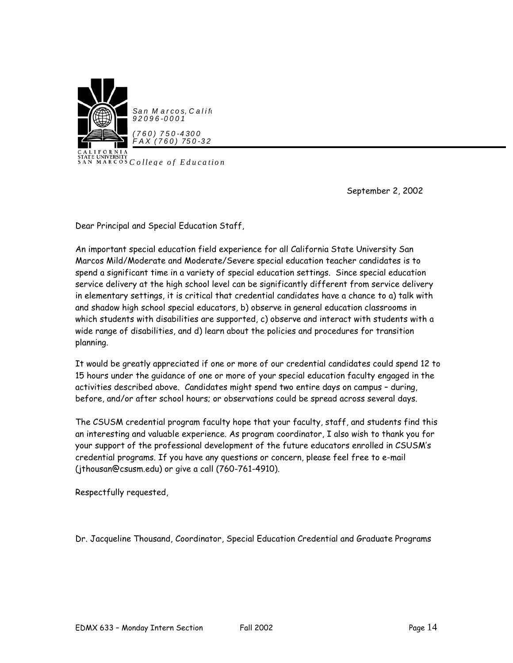

**CALL**<br>SAN MARCOS *College of Education* 

September 2, 2002

Dear Principal and Special Education Staff,

An important special education field experience for all California State University San Marcos Mild/Moderate and Moderate/Severe special education teacher candidates is to spend a significant time in a variety of special education settings. Since special education service delivery at the high school level can be significantly different from service delivery in elementary settings, it is critical that credential candidates have a chance to a) talk with and shadow high school special educators, b) observe in general education classrooms in which students with disabilities are supported, c) observe and interact with students with a wide range of disabilities, and d) learn about the policies and procedures for transition planning.

It would be greatly appreciated if one or more of our credential candidates could spend 12 to 15 hours under the guidance of one or more of your special education faculty engaged in the activities described above. Candidates might spend two entire days on campus – during, before, and/or after school hours; or observations could be spread across several days.

The CSUSM credential program faculty hope that your faculty, staff, and students find this an interesting and valuable experience. As program coordinator, I also wish to thank you for your support of the professional development of the future educators enrolled in CSUSM's credential programs. If you have any questions or concern, please feel free to e-mail (jthousan@csusm.edu) or give a call (760-761-4910).

Respectfully requested,

Dr. Jacqueline Thousand, Coordinator, Special Education Credential and Graduate Programs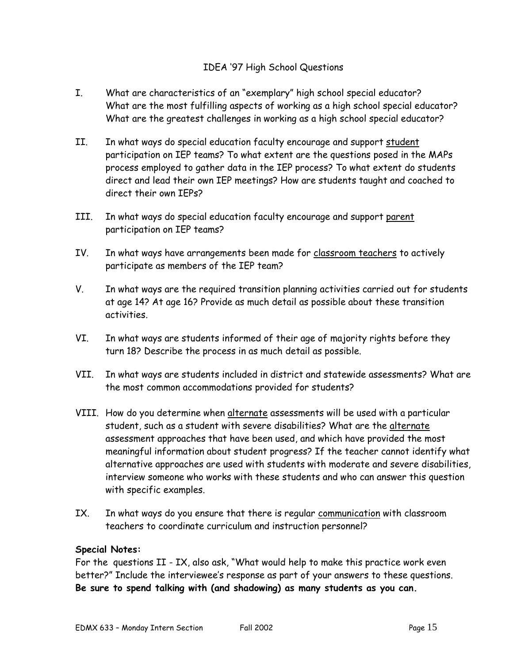## IDEA '97 High School Questions

- I. What are characteristics of an "exemplary" high school special educator? What are the most fulfilling aspects of working as a high school special educator? What are the greatest challenges in working as a high school special educator?
- II. In what ways do special education faculty encourage and support student participation on IEP teams? To what extent are the questions posed in the MAPs process employed to gather data in the IEP process? To what extent do students direct and lead their own IEP meetings? How are students taught and coached to direct their own IFPs?
- III. In what ways do special education faculty encourage and support parent participation on IEP teams?
- IV. In what ways have arrangements been made for classroom teachers to actively participate as members of the IEP team?
- V. In what ways are the required transition planning activities carried out for students at age 14? At age 16? Provide as much detail as possible about these transition activities.
- VI. In what ways are students informed of their age of majority rights before they turn 18? Describe the process in as much detail as possible.
- VII. In what ways are students included in district and statewide assessments? What are the most common accommodations provided for students?
- VIII. How do you determine when alternate assessments will be used with a particular student, such as a student with severe disabilities? What are the alternate assessment approaches that have been used, and which have provided the most meaningful information about student progress? If the teacher cannot identify what alternative approaches are used with students with moderate and severe disabilities, interview someone who works with these students and who can answer this question with specific examples.
- IX. In what ways do you ensure that there is regular communication with classroom teachers to coordinate curriculum and instruction personnel?

## **Special Notes:**

For the questions II - IX, also ask, "What would help to make this practice work even better?" Include the interviewee's response as part of your answers to these questions. **Be sure to spend talking with (and shadowing) as many students as you can.**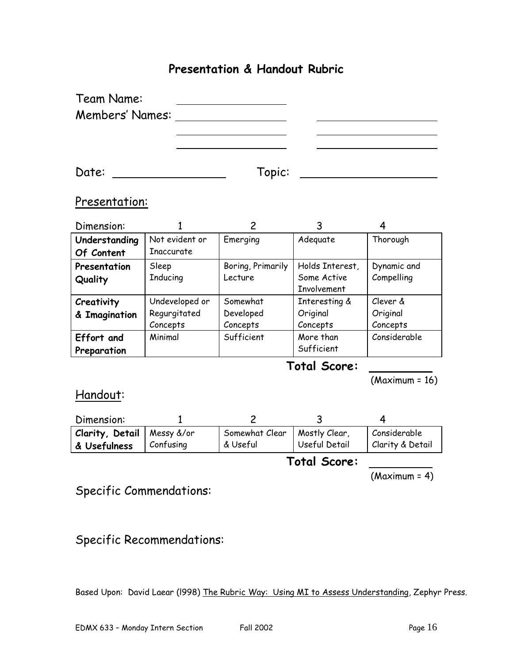# **Presentation & Handout Rubric**

| Team Name:             |        |  |
|------------------------|--------|--|
| <b>Members' Names:</b> |        |  |
|                        |        |  |
|                        |        |  |
|                        |        |  |
| Date:                  | Topic: |  |

## Presentation:

| Dimension:    |                |                   |                    |              |
|---------------|----------------|-------------------|--------------------|--------------|
| Understanding | Not evident or | Emerging          | Adequate           | Thorough     |
| Of Content    | Inaccurate     |                   |                    |              |
| Presentation  | Sleep          | Boring, Primarily | Holds Interest,    | Dynamic and  |
| Quality       | Inducing       | Lecture           | Some Active        | Compelling   |
|               |                |                   | <b>Involvement</b> |              |
| Creativity    | Undeveloped or | Somewhat          | Interesting &      | Clever &     |
| & Imagination | Regurgitated   | Developed         | Original           | Original     |
|               | Concepts       | Concepts          | Concepts           | Concepts     |
| Effort and    | Minimal        | Sufficient        | More than          | Considerable |
| Preparation   |                |                   | Sufficient         |              |

# **Total Score:**

(Maximum = 16)

Handout:

| Dimension:                          |           |                |               |                             |
|-------------------------------------|-----------|----------------|---------------|-----------------------------|
| <b>Clarity, Detail</b>   Messy &/or |           | Somewhat Clear | Mostly Clear  | Considerable                |
| & Usefulness                        | Confusing | & Useful       | Useful Detail | <b>Clarity &amp; Detail</b> |

**Total Score:** 

(Maximum = 4)

Specific Commendations:

Specific Recommendations:

Based Upon: David Laear (l998) The Rubric Way: Using MI to Assess Understanding, Zephyr Press.